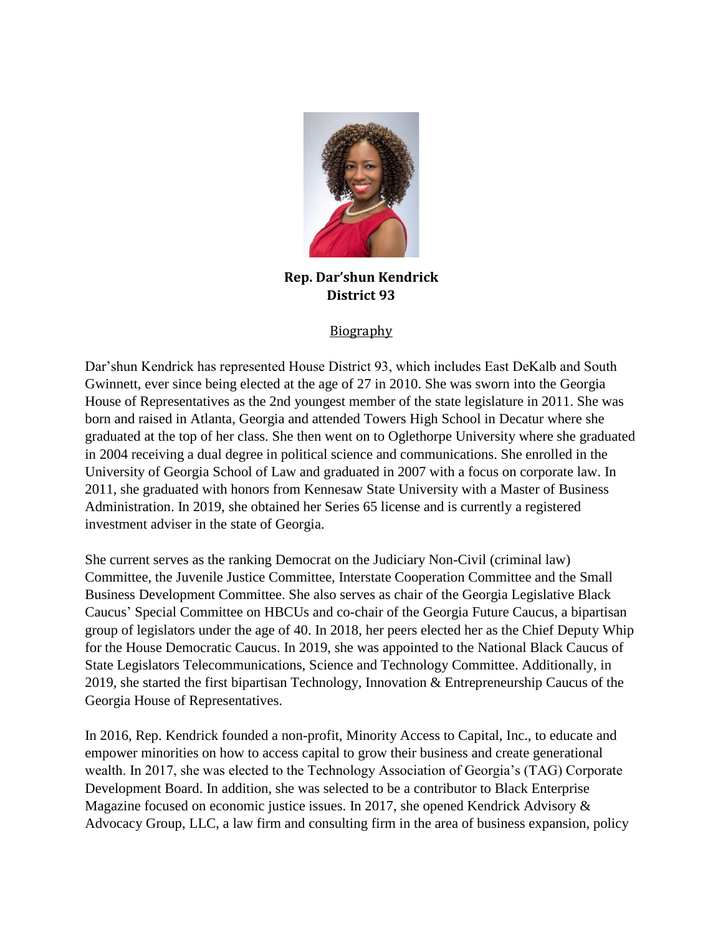

**Rep. Dar'shun Kendrick District 93**

## **Biography**

Dar'shun Kendrick has represented House District 93, which includes East DeKalb and South Gwinnett, ever since being elected at the age of 27 in 2010. She was sworn into the Georgia House of Representatives as the 2nd youngest member of the state legislature in 2011. She was born and raised in Atlanta, Georgia and attended Towers High School in Decatur where she graduated at the top of her class. She then went on to Oglethorpe University where she graduated in 2004 receiving a dual degree in political science and communications. She enrolled in the University of Georgia School of Law and graduated in 2007 with a focus on corporate law. In 2011, she graduated with honors from Kennesaw State University with a Master of Business Administration. In 2019, she obtained her Series 65 license and is currently a registered investment adviser in the state of Georgia.

She current serves as the ranking Democrat on the Judiciary Non-Civil (criminal law) Committee, the Juvenile Justice Committee, Interstate Cooperation Committee and the Small Business Development Committee. She also serves as chair of the Georgia Legislative Black Caucus' Special Committee on HBCUs and co-chair of the Georgia Future Caucus, a bipartisan group of legislators under the age of 40. In 2018, her peers elected her as the Chief Deputy Whip for the House Democratic Caucus. In 2019, she was appointed to the National Black Caucus of State Legislators Telecommunications, Science and Technology Committee. Additionally, in 2019, she started the first bipartisan Technology, Innovation & Entrepreneurship Caucus of the Georgia House of Representatives.

In 2016, Rep. Kendrick founded a non-profit, Minority Access to Capital, Inc., to educate and empower minorities on how to access capital to grow their business and create generational wealth. In 2017, she was elected to the Technology Association of Georgia's (TAG) Corporate Development Board. In addition, she was selected to be a contributor to Black Enterprise Magazine focused on economic justice issues. In 2017, she opened Kendrick Advisory & Advocacy Group, LLC, a law firm and consulting firm in the area of business expansion, policy